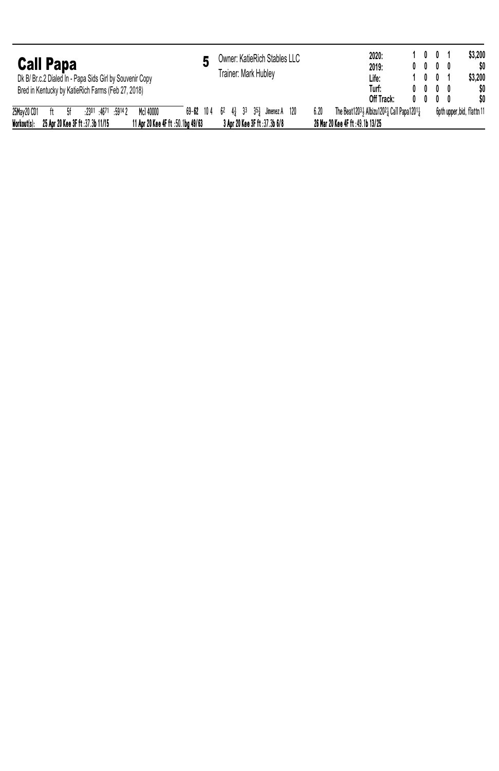| <b>Call Papa</b><br>Dk B/ Br.c.2 Dialed In - Papa Sids Girl by Souvenir Copy<br>Bred in Kentucky by KatieRich Farms (Feb 27, 2018)                   | Owner: KatieRich Stables LLC<br>Trainer: Mark Hublev                  | 1001<br>2020:<br>2019:<br>$0\quad 0\quad 0\quad 0\quad$<br>1001<br>Life:<br>Turf:<br>$0\quad 0\quad 0\quad 0$<br>Off Track:<br>$0\quad 0\quad 0\quad 0\quad$ | \$3,200<br>SO.<br>\$3.200<br>\$0<br>\$O |
|------------------------------------------------------------------------------------------------------------------------------------------------------|-----------------------------------------------------------------------|--------------------------------------------------------------------------------------------------------------------------------------------------------------|-----------------------------------------|
| 25Mav 20 CD1<br>Mc1 40000<br>$:2301$ $:4671$ $:59142$<br>-Sf<br>Workout(s):<br>25 Apr 20 Kee 3F ft :37.3b 11/15<br>11 Apr 20 Kee 4F ft :50.1bg 49/63 | 69-62 104 62 43 33 353 Jimenez A 120<br>3 Apr 20 Kee 3F ft :37.3b 6/8 | 6.20<br>The Beat12031 Albizu12021 Call Papa12011<br>26 Mar 20 Kee 4F ft : 49.1b 13/25                                                                        | 6pth upper bid, flattn 11               |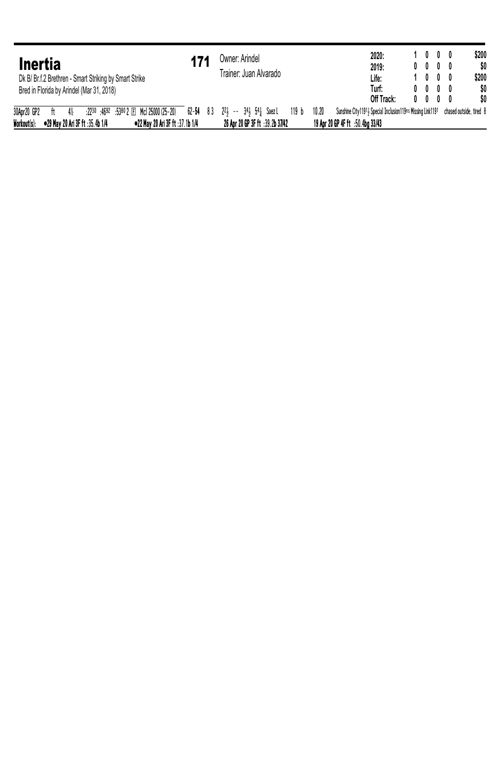| <b>Inertia</b><br>Dk B/ Br.f.2 Brethren - Smart Striking by Smart Strike<br>Bred in Florida by Arindel (Mar 31, 2018) | Owner: Arindel<br>Trainer: Juan Alvarado | 1000<br>2020:<br>2019:<br>$0\quad 0\quad 0\quad 0\quad$<br>1000<br>Life:<br>Turf:<br>$0\quad 0\quad 0\quad 0\quad$ | \$200<br>\$0<br>\$200<br>\$0 |
|-----------------------------------------------------------------------------------------------------------------------|------------------------------------------|--------------------------------------------------------------------------------------------------------------------|------------------------------|
|                                                                                                                       |                                          | Off Track:<br>$0\quad 0\quad 0\quad 0\quad$                                                                        | \$0                          |
| 30Apr20 GP2   ft   4½   :2230 :4692 :5380 2 叵 Mc1 25000 (25-20)   62-54  8 3  22, -- 34, 54, Saez L   119 b           |                                          | Sunshine City11911 Special Inclusion119ns Missing Link1191 chased outside, tired 8<br>10.20                        |                              |
| Workout(s):<br>●29 May 20 Ari 3F ft :35.4b 1/4<br>●22 May 20 Ari 3F ft :37.1b 1/4                                     | 26 Apr 20 GP 3F ft :39.2b 37/42          | 19 Apr 20 GP 4F ft :50.4bg 33/43                                                                                   |                              |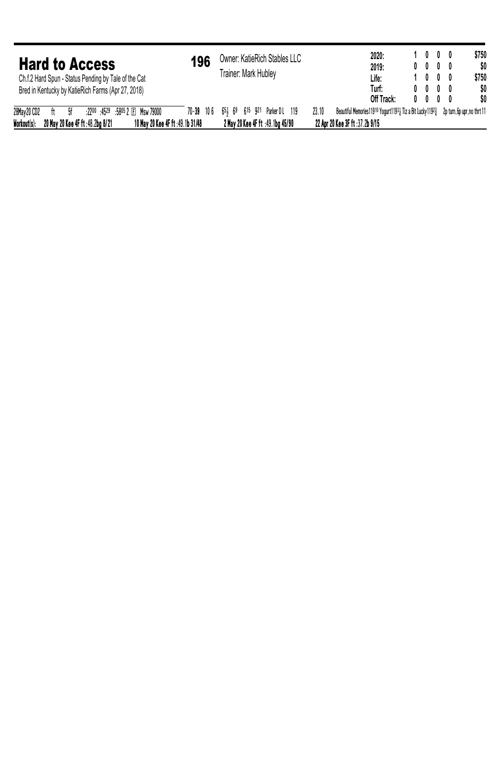| <b>Hard to Access</b><br>Ch.f.2 Hard Spun - Status Pending by Tale of the Cat<br>Bred in Kentucky by KatieRich Farms (Apr 27, 2018)              | 196 | Owner: KatieRich Stables LLC<br>Trainer: Mark Hublev                       | 2020:<br>2019:<br>Life:<br>Turf:<br>Off Track:                                                                                      | $0\quad 0\quad 0\quad 0\quad$<br>$0\quad 0\quad 0\quad 0$<br>$0\quad 0\quad 0\quad 0$ | 1000<br>1000 | \$750<br>\$0<br>\$750<br>\$0<br>SO. |
|--------------------------------------------------------------------------------------------------------------------------------------------------|-----|----------------------------------------------------------------------------|-------------------------------------------------------------------------------------------------------------------------------------|---------------------------------------------------------------------------------------|--------------|-------------------------------------|
| 28May 20 CD2<br>.2200 .4529 .5805 2 El Msw 79000<br>ft 5f<br>Workout(s):<br>10 May 20 Kee 4F ft :49.1b 31/48<br>20 May 20 Kee 4F ft :48.2bg 8/21 |     | 70-39 106 654 69 615 921 Parker DL 119<br>2 May 20 Kee 4F ft :49.1bg 45/90 | Beautiful Memories 11910 Yogurt 11931 Tiz a Bit Lucky 11923 2p turn, 6p upr, no thrt 11<br>23.10<br>22 Apr 20 Kee 3F ft :37.2b 9/15 |                                                                                       |              |                                     |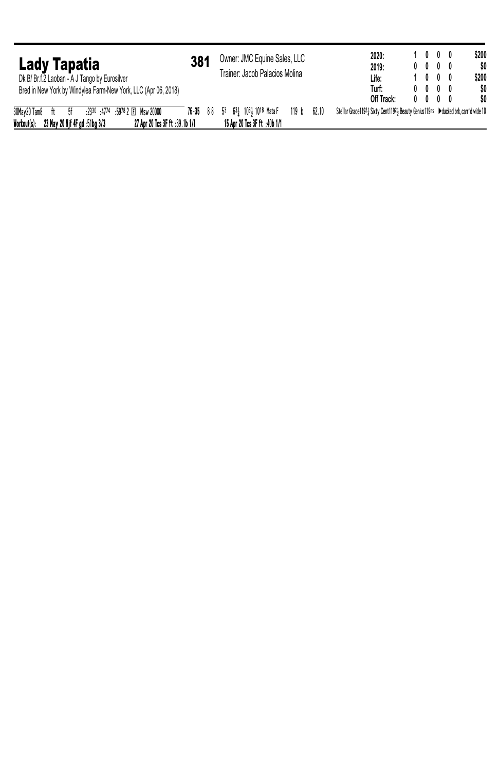| Lady Tapatia<br>Dk B/ Br.f.2 Laoban - A J Tango by Eurosilver                  | 381 | Owner: JMC Equine Sales, LLC<br>Trainer: Jacob Palacios Molina |                  |       | 2020:<br>2019:<br>Life:                                                          | 1000<br>$0\quad 0\quad 0\quad 0\quad$<br>1000 |  | \$200<br>\$0<br>\$200 |
|--------------------------------------------------------------------------------|-----|----------------------------------------------------------------|------------------|-------|----------------------------------------------------------------------------------|-----------------------------------------------|--|-----------------------|
| Bred in New York by Windylea Farm-New York, LLC (Apr 06, 2018)                 |     |                                                                |                  |       | Turf:                                                                            | $0\quad 0\quad 0\quad 0$                      |  | \$0                   |
|                                                                                |     |                                                                |                  |       | Off Track:                                                                       | $0\quad 0\quad 0\quad 0\quad$                 |  | SO.                   |
| 30May20 Tam8 ft 5f<br>:2330 :4774 :5978 2 El Msw 20000                         |     | 76-35 88 53 631 1081 1018 Mata F                               | 119 <sub>b</sub> | 62.10 | Stellar Grace11921 Sixty Cent11921 Beauty Genius119ns Dducked brk.carr'd wide 10 |                                               |  |                       |
| Workout(s):<br>27 Apr 20 Tcs 3F ft :39.1b 1/1<br>23 May 20 Nif 4F gd :51bg 3/3 |     | 15 Apr 20 Tcs 3F ft :40b 1/1                                   |                  |       |                                                                                  |                                               |  |                       |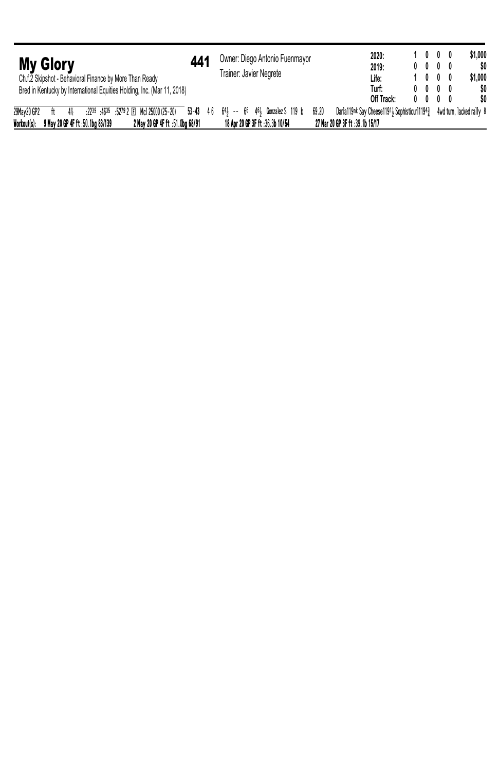| <b>My Glory</b><br>Ch.f.2 Skipshot - Behavioral Finance by More Than Ready | 44'                             | Owner: Diego Antonio Fuenmayor<br>Trainer: Javier Negrete                            | 2020:<br>2019:<br>Life:                               | 1000<br>$0\quad 0\quad 0\quad 0$<br>1000                  |  | \$1,000<br>\$O<br>\$1,000 |
|----------------------------------------------------------------------------|---------------------------------|--------------------------------------------------------------------------------------|-------------------------------------------------------|-----------------------------------------------------------|--|---------------------------|
| Bred in Kentucky by International Equities Holding, Inc. (Mar 11, 2018)    |                                 |                                                                                      | Turf:<br>Off Track:                                   | $0\quad 0\quad 0\quad 0$<br>$0\quad 0\quad 0\quad 0\quad$ |  | \$0<br>\$O                |
|                                                                            |                                 |                                                                                      |                                                       |                                                           |  |                           |
| 29May 20 GP2<br>4%<br>– ft                                                 |                                 | $22^{39}$ :4635 :5279 2 El Mc1 25000 (25-20) 53-43 46 641 -- 66 461 Gonzalez S 119 b | Darla119nk Say Cheese11911 Sophisticurl11943<br>69.20 |                                                           |  | 4wd turn. lacked rally 8  |
| Workout(s):<br>9 May 20 GP 4F ft :50.1bg 83/139                            | 2 May 20 GP 4F ft :51.0bg 68/91 | 18 Apr 20 GP 3F ft :36.3b 10/54                                                      | 27 Mar 20 GP 3F ft :39.1b 15/17                       |                                                           |  |                           |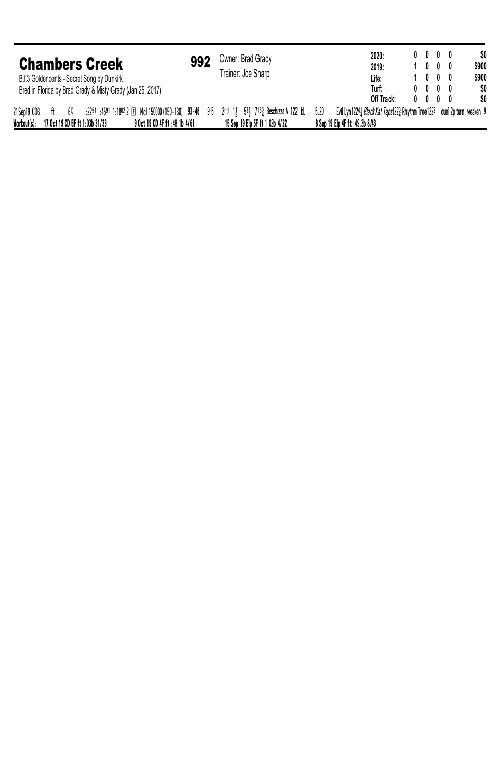| <b>Chambers Creek</b><br>B.f.3 Goldencents - Secret Song by Dunkirk<br>Bred in Florida by Brad Grady & Misty Grady (Jan 25, 2017)                                                                               | 992 | Owner: Brad Grady<br>Trainer: Joe Sharp | 2020:<br>2019:<br>Life:<br>Turf:<br>Off Track:                                                                    | $0\quad 0\quad 0\quad 0\quad$<br>1000<br>1000<br>$0\quad 0\quad 0\quad 0$<br>$0\quad 0\quad 0\quad 0\quad$ |  | \$0<br>\$900<br>\$900<br>\$0<br>SO. |
|-----------------------------------------------------------------------------------------------------------------------------------------------------------------------------------------------------------------|-----|-----------------------------------------|-------------------------------------------------------------------------------------------------------------------|------------------------------------------------------------------------------------------------------------|--|-------------------------------------|
| 21Sep19 CD3<br>:2251 :4591 1:1802 2 El Mc1 150000 (150-130) 93-46 95 2hd 13 533 7133 Beschizza A 122 bL<br>6%<br>$^{\rm{ft}}$<br>Workout(s):<br>17 Oct 19 CD 5F ft 1:03b 31/33<br>9 Oct 19 CD 4F ft :48.1b 4/61 |     | 15 Sep 19 Elp 5F ft 1:02b 4/22          | Evil Lyn12243 Black Kat Taps1223 Rhythm Tree1222 duel 2p turn, weaken 9<br>5.20<br>8 Sep 19 Elp 4F ft :49.3b 8/43 |                                                                                                            |  |                                     |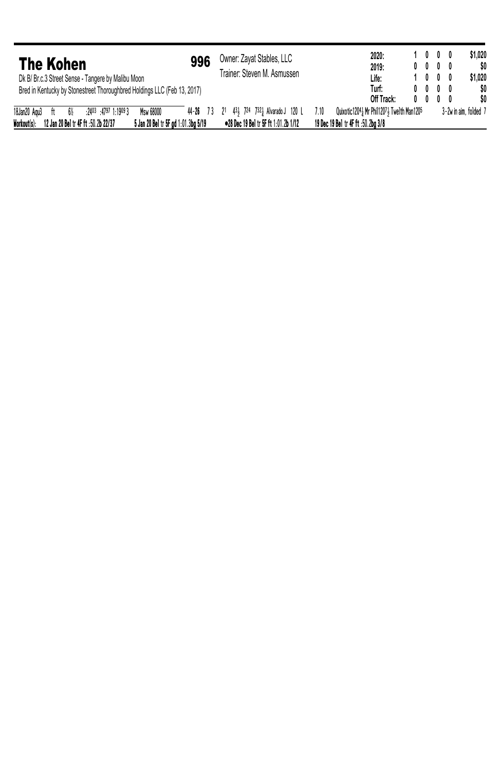| <b>The Kohen</b><br>Dk B/ Br.c.3 Street Sense - Tangere by Malibu Moon                    | 996 | Owner: Zayat Stables, LLC<br>Trainer: Steven M. Asmussen | 2020:<br>2019:<br>Life:                                 | 1000<br>$0\quad 0\quad 0\quad 0$<br>1000 |                       | \$1.020<br>SO.<br>\$1.020 |
|-------------------------------------------------------------------------------------------|-----|----------------------------------------------------------|---------------------------------------------------------|------------------------------------------|-----------------------|---------------------------|
| Bred in Kentucky by Stonestreet Thoroughbred Holdings LLC (Feb 13, 2017)                  |     |                                                          | Turf:                                                   | $0\quad 0\quad 0\quad 0\quad$            |                       | \$0                       |
|                                                                                           |     |                                                          | Off Track:                                              | $0\quad 0\quad 0\quad 0$                 |                       | \$0                       |
| 18Jan20 Agu3<br>Msw 68000<br>$:2403$ $:4797$ $1:19093$<br>6%<br>ft                        |     | 44-26 73 21 431 724 7321 Alvarado J 120 L                | Quixotic 1204.1 Mr Phil 1207.1 Twe lth Man 1205<br>7.10 |                                          | 3-2w in aim, folded 7 |                           |
| Workout(s):<br>12 Jan 20 Bel tr 4F ft :50.2b 22/37<br>5 Jan 20 Bel tr 5F od 1:01.3bg 5/19 |     | •28 Dec 19 Bel tr 5F ft 1:01.2b 1/12                     | 19 Dec 19 Bel tr 4F ft :50.2bg 3/8                      |                                          |                       |                           |